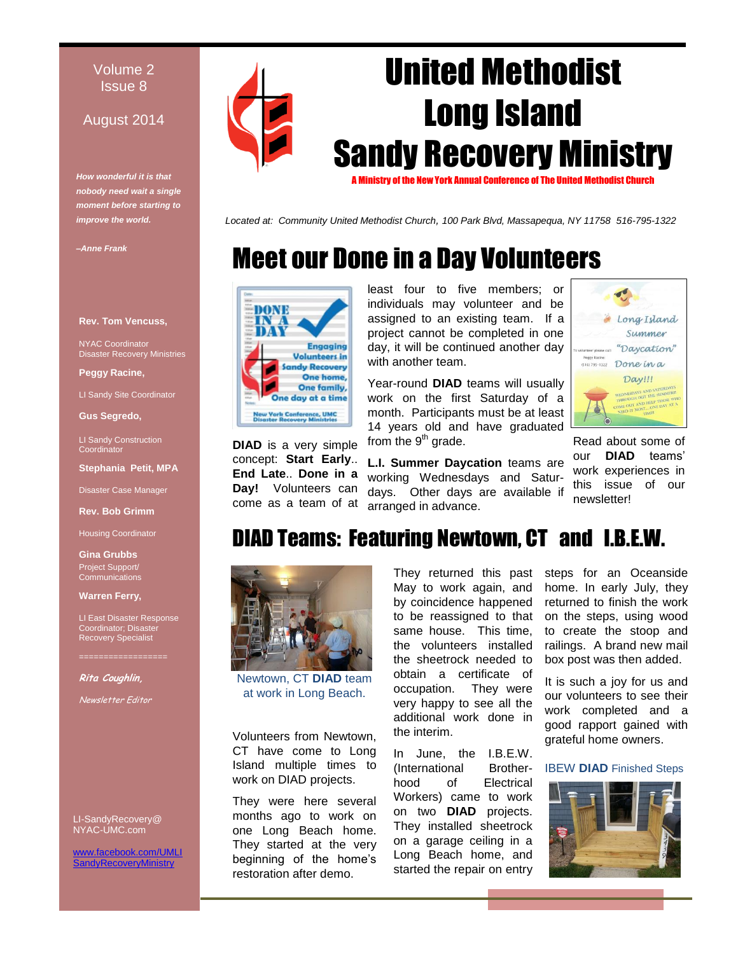#### Volume 2 Issue 8

#### August 2014

*How wonderful it is that nobody need wait a single moment before starting to improve the world.* 

*–Anne Frank*

#### **Rev. Tom Vencuss,**

NYAC Coordinator Disaster Recovery Ministries

**Peggy Racine,** 

LI Sandy Site Coordinator

**Gus Segredo,** 

LI Sandy Construction **Coordinator** 

**Stephania Petit, MPA**

Disaster Case Manager

**Rev. Bob Grimm**

Housing Coordinator

**Gina Grubbs** Project Support/ **Communications** 

**Warren Ferry,** 

LI East Disaster Response Coordinator; Disaster Recovery Specialist

**Rita Coughlin,** 

Newsletter Editor

LI-SandyRecovery@ NYAC-UMC.com

w.facebook.com/UMLI dyRecoveryMinistry



*Located at: Community United Methodist Church, 100 Park Blvd, Massapequa, NY 11758 516-795-1322*

# Meet our Done in a Day Volunteers



**DIAD** is a very simple concept: **Start Early**.. **End Late**.. **Done in a Day!** Volunteers can come as a team of at

least four to five members; or individuals may volunteer and be assigned to an existing team. If a project cannot be completed in one day, it will be continued another day with another team.

Year-round **DIAD** teams will usually work on the first Saturday of a month. Participants must be at least 14 years old and have graduated from the 9<sup>th</sup> grade.

**L.I. Summer Daycation** teams are working Wednesdays and Saturdays. Other days are available if arranged in advance.



Read about some of our **DIAD** teams' work experiences in this issue of our newsletter!

## DIAD Teams: Featuring Newtown, CT and I.B.E.W.



Newtown, CT **DIAD** team at work in Long Beach.

Volunteers from Newtown, CT have come to Long Island multiple times to work on DIAD projects.

They were here several months ago to work on one Long Beach home. They started at the very beginning of the home's restoration after demo.

They returned this past May to work again, and by coincidence happened to be reassigned to that same house. This time, the volunteers installed the sheetrock needed to obtain a certificate of occupation. They were very happy to see all the additional work done in the interim.

In June, the I.B.E.W. (International Brotherhood of Electrical Workers) came to work on two **DIAD** projects. They installed sheetrock on a garage ceiling in a Long Beach home, and started the repair on entry

steps for an Oceanside home. In early July, they returned to finish the work on the steps, using wood to create the stoop and railings. A brand new mail box post was then added.

It is such a joy for us and our volunteers to see their work completed and a good rapport gained with grateful home owners.

IBEW **DIAD** Finished Steps